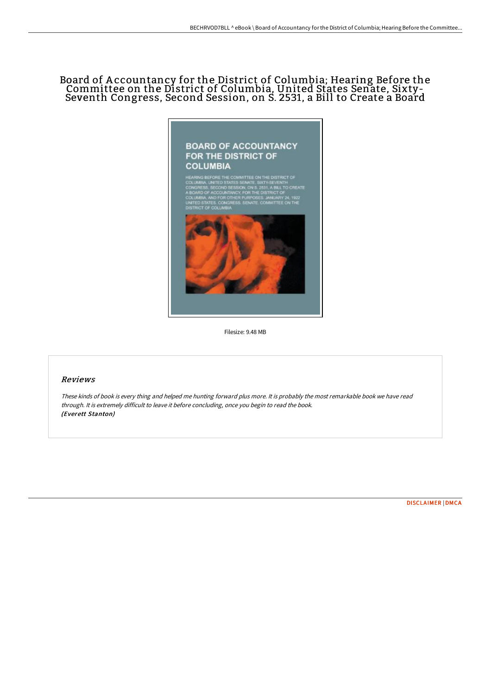# Board of A ccountancy for the District of Columbia; Hearing Before the Committee on the District of Columbia, United States Senate, Sixty-Seventh Congress, Second Session, on S. 2531, a Bill to Create a Board



Filesize: 9.48 MB

### Reviews

These kinds of book is every thing and helped me hunting forward plus more. It is probably the most remarkable book we have read through. It is extremely difficult to leave it before concluding, once you begin to read the book. (Everett Stanton)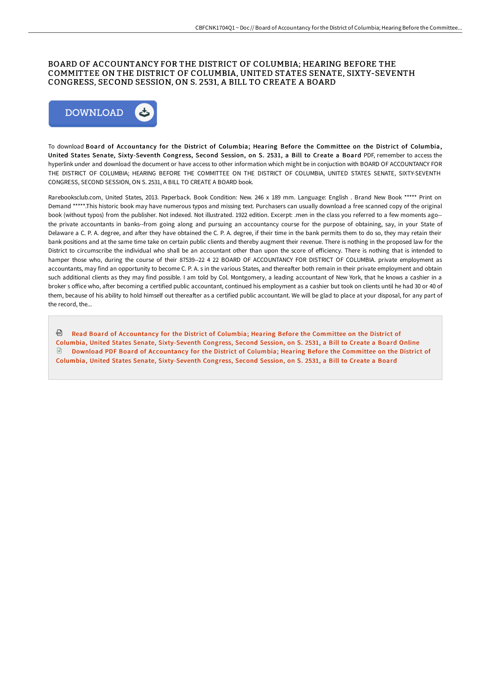### BOARD OF ACCOUNTANCY FOR THE DISTRICT OF COLUMBIA; HEARING BEFORE THE COMMITTEE ON THE DISTRICT OF COLUMBIA, UNITED STATES SENATE, SIXTY-SEVENTH CONGRESS, SECOND SESSION, ON S. 2531, A BILL TO CREATE A BOARD



To download Board of Accountancy for the District of Columbia; Hearing Before the Committee on the District of Columbia, United States Senate, Sixty-Seventh Congress, Second Session, on S. 2531, a Bill to Create a Board PDF, remember to access the hyperlink under and download the document or have access to other information which might be in conjuction with BOARD OF ACCOUNTANCY FOR THE DISTRICT OF COLUMBIA; HEARING BEFORE THE COMMITTEE ON THE DISTRICT OF COLUMBIA, UNITED STATES SENATE, SIXTY-SEVENTH CONGRESS, SECOND SESSION, ON S. 2531, A BILL TO CREATE A BOARD book.

Rarebooksclub.com, United States, 2013. Paperback. Book Condition: New. 246 x 189 mm. Language: English . Brand New Book \*\*\*\*\* Print on Demand \*\*\*\*\*.This historic book may have numerous typos and missing text. Purchasers can usually download a free scanned copy of the original book (without typos) from the publisher. Not indexed. Not illustrated. 1922 edition. Excerpt: .men in the class you referred to a few moments ago- the private accountants in banks--from going along and pursuing an accountancy course for the purpose of obtaining, say, in your State of Delaware a C. P. A. degree, and after they have obtained the C. P. A. degree, if their time in the bank permits them to do so, they may retain their bank positions and at the same time take on certain public clients and thereby augment their revenue. There is nothing in the proposed law for the District to circumscribe the individual who shall be an accountant other than upon the score of efficiency. There is nothing that is intended to hamper those who, during the course of their 87539--22 4 22 BOARD OF ACCOUNTANCY FOR DISTRICT OF COLUMBIA. private employment as accountants, may find an opportunity to become C. P. A. s in the various States, and thereafter both remain in their private employment and obtain such additional clients as they may find possible. I am told by Col. Montgomery, a leading accountant of New York, that he knows a cashier in a broker s office who, after becoming a certified public accountant, continued his employment as a cashier but took on clients until he had 30 or 40 of them, because of his ability to hold himself out thereafter as a certified public accountant. We will be glad to place at your disposal, for any part of the record, the...

<sup>n</sup> Read Board of Accountancy for the District of Columbia; Hearing Before the Committee on the District of Columbia, United States Senate, [Sixty-Seventh](http://bookera.tech/board-of-accountancy-for-the-district-of-columbi.html) Congress, Second Session, on S. 2531, a Bill to Create a Board Online Download PDF Board of Accountancy for the District of Columbia; Hearing Before the Committee on the District of Columbia, United States Senate, [Sixty-Seventh](http://bookera.tech/board-of-accountancy-for-the-district-of-columbi.html) Congress, Second Session, on S. 2531, a Bill to Create a Board